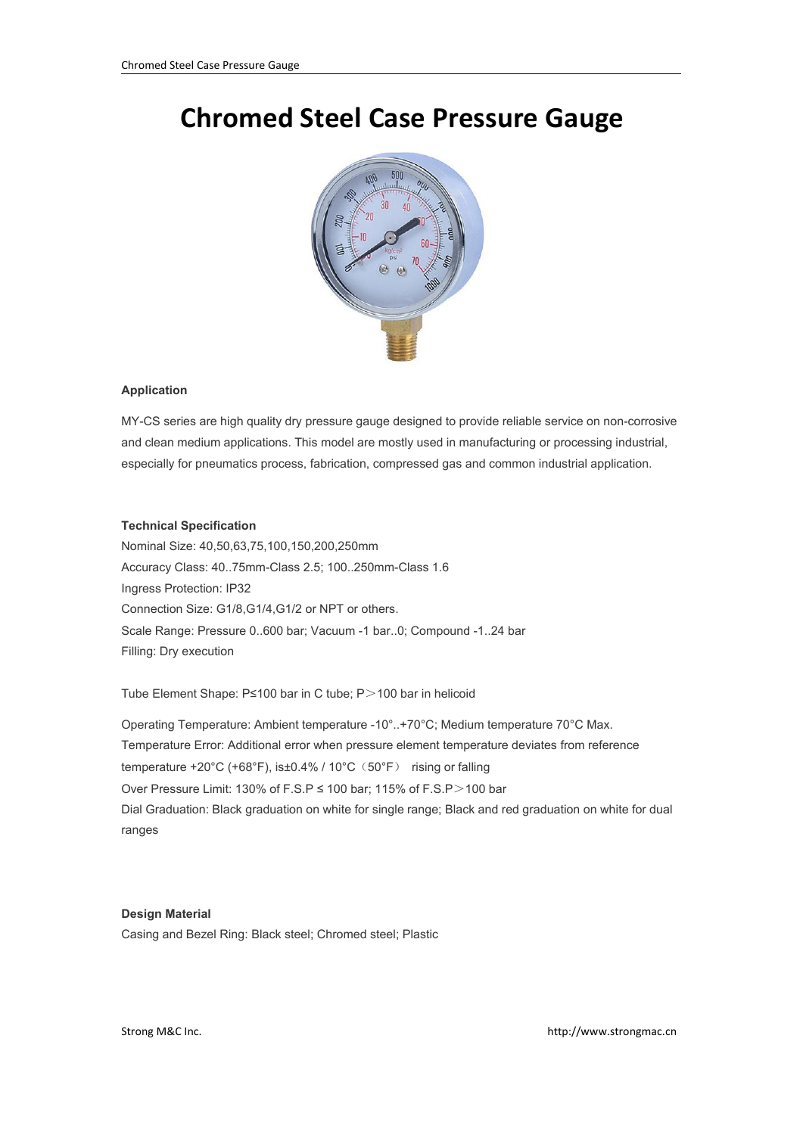## **Chromed Steel Case Pressure Gauge**



## **Application**

MY-CS series are high quality dry pressure gauge designed to provide reliable service on non-corrosive and clean medium applications. This model are mostly used in manufacturing or processing industrial, especially for pneumatics process, fabrication, compressed gas and common industrial application.

## **Technical Specification**

Nominal Size: 40,50,63,75,100,150,200,250mm Accuracy Class: 40..75mm-Class 2.5; 100..250mm-Class 1.6 Ingress Protection: IP32 Connection Size: G1/8,G1/4,G1/2 or NPT or others. Scale Range: Pressure 0..600 bar; Vacuum -1 bar..0; Compound -1..24 bar Filling: Dry execution

Tube Element Shape: P≤100 bar in C tube; P>100 bar in helicoid

Operating Temperature: Ambient temperature -10°..+70°C; Medium temperature 70°C Max.<br>Temperature Error: Additional error when pressure element temperature deviates from reference temperature +20°C (+68°F), is±0.4% / 10°C(50°F) rising or falling Over Pressure Limit: 130% of F.S.P ≤ 100 bar; 115% of F.S.P>100 bar Dial Graduation: Black graduation on white for single range; Black and red graduation on white for dual ranges

## **Design Material**

Casing and Bezel Ring: Black steel; Chromed steel; Plastic